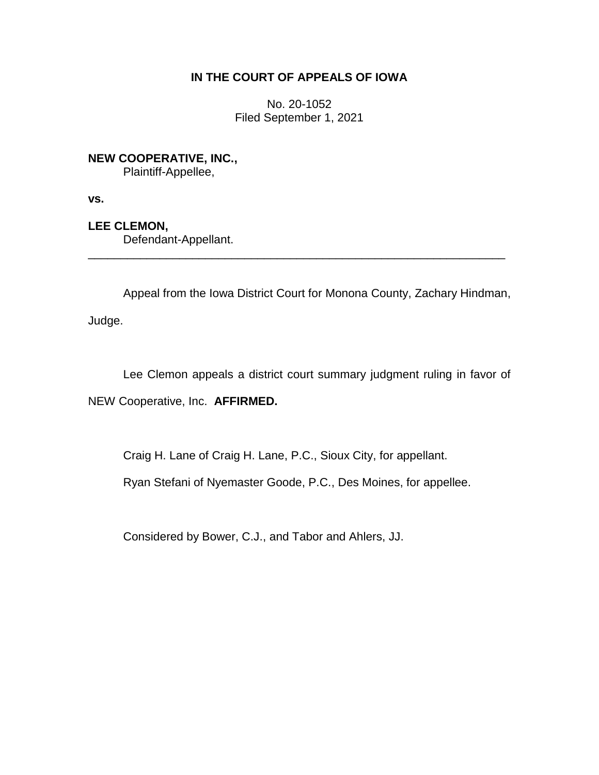## **IN THE COURT OF APPEALS OF IOWA**

No. 20-1052 Filed September 1, 2021

**NEW COOPERATIVE, INC.,** Plaintiff-Appellee,

**vs.**

**LEE CLEMON,**

Defendant-Appellant.

Appeal from the Iowa District Court for Monona County, Zachary Hindman,

\_\_\_\_\_\_\_\_\_\_\_\_\_\_\_\_\_\_\_\_\_\_\_\_\_\_\_\_\_\_\_\_\_\_\_\_\_\_\_\_\_\_\_\_\_\_\_\_\_\_\_\_\_\_\_\_\_\_\_\_\_\_\_\_

Judge.

Lee Clemon appeals a district court summary judgment ruling in favor of

NEW Cooperative, Inc. **AFFIRMED.**

Craig H. Lane of Craig H. Lane, P.C., Sioux City, for appellant.

Ryan Stefani of Nyemaster Goode, P.C., Des Moines, for appellee.

Considered by Bower, C.J., and Tabor and Ahlers, JJ.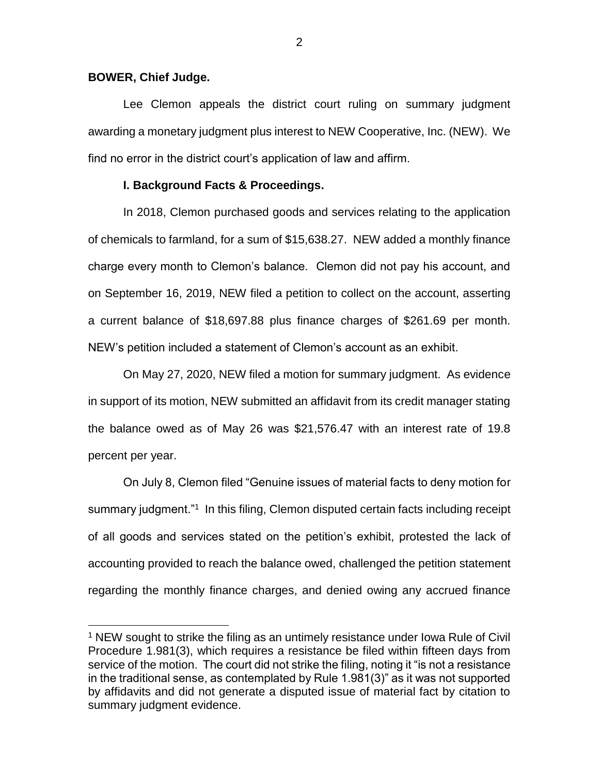### **BOWER, Chief Judge.**

 $\overline{a}$ 

Lee Clemon appeals the district court ruling on summary judgment awarding a monetary judgment plus interest to NEW Cooperative, Inc. (NEW). We find no error in the district court's application of law and affirm.

### **I. Background Facts & Proceedings.**

In 2018, Clemon purchased goods and services relating to the application of chemicals to farmland, for a sum of \$15,638.27. NEW added a monthly finance charge every month to Clemon's balance. Clemon did not pay his account, and on September 16, 2019, NEW filed a petition to collect on the account, asserting a current balance of \$18,697.88 plus finance charges of \$261.69 per month. NEW's petition included a statement of Clemon's account as an exhibit.

On May 27, 2020, NEW filed a motion for summary judgment. As evidence in support of its motion, NEW submitted an affidavit from its credit manager stating the balance owed as of May 26 was \$21,576.47 with an interest rate of 19.8 percent per year.

On July 8, Clemon filed "Genuine issues of material facts to deny motion for summary judgment."<sup>1</sup> In this filing, Clemon disputed certain facts including receipt of all goods and services stated on the petition's exhibit, protested the lack of accounting provided to reach the balance owed, challenged the petition statement regarding the monthly finance charges, and denied owing any accrued finance

<sup>&</sup>lt;sup>1</sup> NEW sought to strike the filing as an untimely resistance under lowa Rule of Civil Procedure 1.981(3), which requires a resistance be filed within fifteen days from service of the motion. The court did not strike the filing, noting it "is not a resistance in the traditional sense, as contemplated by Rule 1.981(3)" as it was not supported by affidavits and did not generate a disputed issue of material fact by citation to summary judgment evidence.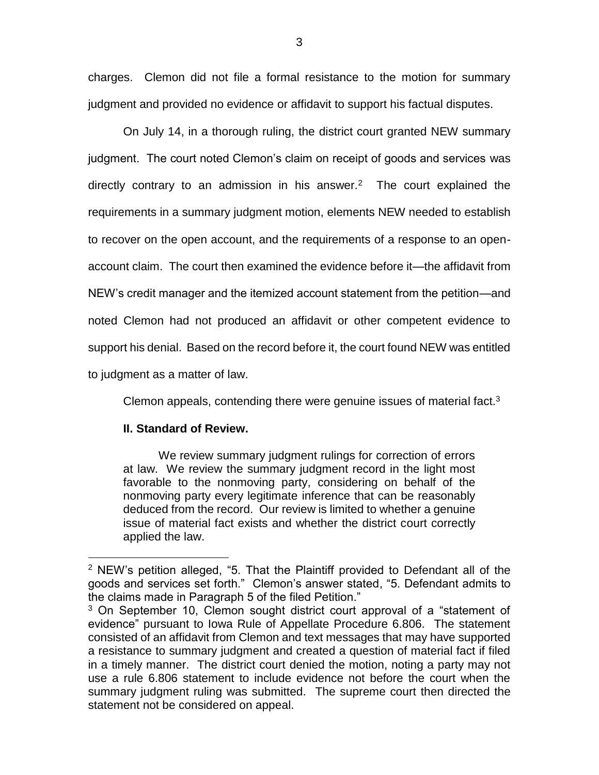charges. Clemon did not file a formal resistance to the motion for summary judgment and provided no evidence or affidavit to support his factual disputes.

On July 14, in a thorough ruling, the district court granted NEW summary judgment. The court noted Clemon's claim on receipt of goods and services was directly contrary to an admission in his answer. $2$  The court explained the requirements in a summary judgment motion, elements NEW needed to establish to recover on the open account, and the requirements of a response to an openaccount claim. The court then examined the evidence before it—the affidavit from NEW's credit manager and the itemized account statement from the petition—and noted Clemon had not produced an affidavit or other competent evidence to support his denial. Based on the record before it, the court found NEW was entitled to judgment as a matter of law.

Clemon appeals, contending there were genuine issues of material fact.<sup>3</sup>

# **II. Standard of Review.**

 $\overline{a}$ 

We review summary judgment rulings for correction of errors at law. We review the summary judgment record in the light most favorable to the nonmoving party, considering on behalf of the nonmoving party every legitimate inference that can be reasonably deduced from the record. Our review is limited to whether a genuine issue of material fact exists and whether the district court correctly applied the law.

<sup>2</sup> NEW's petition alleged, "5. That the Plaintiff provided to Defendant all of the goods and services set forth." Clemon's answer stated, "5. Defendant admits to the claims made in Paragraph 5 of the filed Petition."

<sup>&</sup>lt;sup>3</sup> On September 10, Clemon sought district court approval of a "statement of evidence" pursuant to Iowa Rule of Appellate Procedure 6.806. The statement consisted of an affidavit from Clemon and text messages that may have supported a resistance to summary judgment and created a question of material fact if filed in a timely manner. The district court denied the motion, noting a party may not use a rule 6.806 statement to include evidence not before the court when the summary judgment ruling was submitted. The supreme court then directed the statement not be considered on appeal.